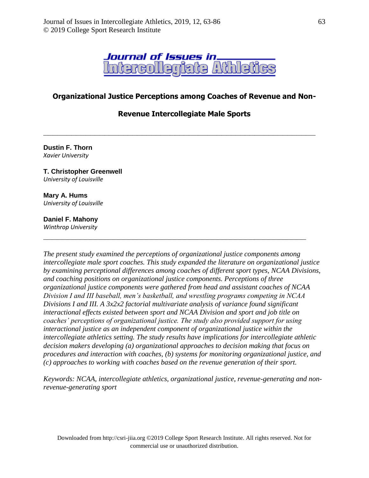

## **Organizational Justice Perceptions among Coaches of Revenue and Non-**

## **Revenue Intercollegiate Male Sports**

**\_\_\_\_\_\_\_\_\_\_\_\_\_\_\_\_\_\_\_\_\_\_\_\_\_\_\_\_\_\_\_\_\_\_\_\_\_\_\_\_\_\_\_\_\_\_\_\_\_\_\_\_\_\_\_\_\_\_**

**Dustin F. Thorn** *Xavier University*

#### **T. Christopher Greenwell** *University of Louisville*

**Mary A. Hums** *University of Louisville*

### **Daniel F. Mahony**

*Winthrop University*

*The present study examined the perceptions of organizational justice components among intercollegiate male sport coaches. This study expanded the literature on organizational justice by examining perceptional differences among coaches of different sport types, NCAA Divisions, and coaching positions on organizational justice components. Perceptions of three organizational justice components were gathered from head and assistant coaches of NCAA Division I and III baseball, men's basketball, and wrestling programs competing in NCAA Divisions I and III. A 3x2x2 factorial multivariate analysis of variance found significant interactional effects existed between sport and NCAA Division and sport and job title on coaches' perceptions of organizational justice. The study also provided support for using interactional justice as an independent component of organizational justice within the intercollegiate athletics setting. The study results have implications for intercollegiate athletic decision makers developing (a) organizational approaches to decision making that focus on procedures and interaction with coaches, (b) systems for monitoring organizational justice, and (c) approaches to working with coaches based on the revenue generation of their sport.*

**\_\_\_\_\_\_\_\_\_\_\_\_\_\_\_\_\_\_\_\_\_\_\_\_\_\_\_\_\_\_\_\_\_\_\_\_\_\_\_\_\_\_\_\_\_\_\_\_\_\_\_\_\_\_\_\_**

*Keywords: NCAA, intercollegiate athletics, organizational justice, revenue-generating and nonrevenue-generating sport*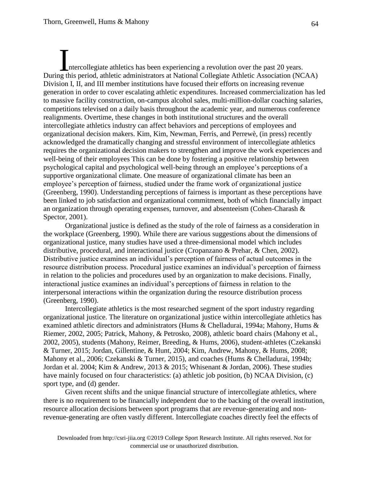ntercollegiate athletics has been experiencing a revolution over the past 20 years. Intercollegiate athletics has been experiencing a revolution over the past 20 years.<br>
During this period, athletic administrators at National Collegiate Athletic Association (NCAA) Division I, II, and III member institutions have focused their efforts on increasing revenue generation in order to cover escalating athletic expenditures. Increased commercialization has led to massive facility construction, on-campus alcohol sales, multi-million-dollar coaching salaries, competitions televised on a daily basis throughout the academic year, and numerous conference realignments. Overtime, these changes in both institutional structures and the overall intercollegiate athletics industry can affect behaviors and perceptions of employees and organizational decision makers. Kim, Kim, Newman, Ferris, and Perrewè, (in press) recently acknowledged the dramatically changing and stressful environment of intercollegiate athletics requires the organizational decision makers to strengthen and improve the work experiences and well-being of their employees This can be done by fostering a positive relationship between psychological capital and psychological well-being through an employee's perceptions of a supportive organizational climate. One measure of organizational climate has been an employee's perception of fairness, studied under the frame work of organizational justice (Greenberg, 1990). Understanding perceptions of fairness is important as these perceptions have been linked to job satisfaction and organizational commitment, both of which financially impact an organization through operating expenses, turnover, and absenteeism (Cohen-Charash & Spector, 2001).

Organizational justice is defined as the study of the role of fairness as a consideration in the workplace (Greenberg, 1990). While there are various suggestions about the dimensions of organizational justice, many studies have used a three-dimensional model which includes distributive, procedural, and interactional justice (Cropanzano & Prehar, & Chen, 2002). Distributive justice examines an individual's perception of fairness of actual outcomes in the resource distribution process. Procedural justice examines an individual's perception of fairness in relation to the policies and procedures used by an organization to make decisions. Finally, interactional justice examines an individual's perceptions of fairness in relation to the interpersonal interactions within the organization during the resource distribution process (Greenberg, 1990).

Intercollegiate athletics is the most researched segment of the sport industry regarding organizational justice. The literature on organizational justice within intercollegiate athletics has examined athletic directors and administrators (Hums & Chelladurai, 1994a; Mahony, Hums & Riemer, 2002, 2005; Patrick, Mahony, & Petrosko, 2008), athletic board chairs (Mahony et al., 2002, 2005), students (Mahony, Reimer, Breeding, & Hums, 2006), student-athletes (Czekanski & Turner, 2015; Jordan, Gillentine, & Hunt, 2004; Kim, Andrew, Mahony, & Hums, 2008; Mahony et al., 2006; Czekanski & Turner, 2015), and coaches (Hums & Chelladurai, 1994b; Jordan et al. 2004; Kim & Andrew, 2013 & 2015; Whisenant & Jordan, 2006). These studies have mainly focused on four characteristics: (a) athletic job position, (b) NCAA Division, (c) sport type, and (d) gender.

Given recent shifts and the unique financial structure of intercollegiate athletics, where there is no requirement to be financially independent due to the backing of the overall institution, resource allocation decisions between sport programs that are revenue-generating and nonrevenue-generating are often vastly different. Intercollegiate coaches directly feel the effects of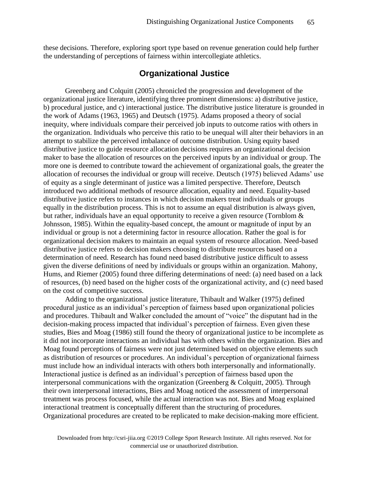these decisions. Therefore, exploring sport type based on revenue generation could help further the understanding of perceptions of fairness within intercollegiate athletics.

## **Organizational Justice**

Greenberg and Colquitt (2005) chronicled the progression and development of the organizational justice literature, identifying three prominent dimensions: a) distributive justice, b) procedural justice, and c) interactional justice. The distributive justice literature is grounded in the work of Adams (1963, 1965) and Deutsch (1975). Adams proposed a theory of social inequity, where individuals compare their perceived job inputs to outcome ratios with others in the organization. Individuals who perceive this ratio to be unequal will alter their behaviors in an attempt to stabilize the perceived imbalance of outcome distribution. Using equity based distributive justice to guide resource allocation decisions requires an organizational decision maker to base the allocation of resources on the perceived inputs by an individual or group. The more one is deemed to contribute toward the achievement of organizational goals, the greater the allocation of recourses the individual or group will receive. Deutsch (1975) believed Adams' use of equity as a single determinant of justice was a limited perspective. Therefore, Deutsch introduced two additional methods of resource allocation, equality and need. Equality-based distributive justice refers to instances in which decision makers treat individuals or groups equally in the distribution process. This is not to assume an equal distribution is always given, but rather, individuals have an equal opportunity to receive a given resource (Tornblom & Johnsson, 1985). Within the equality-based concept, the amount or magnitude of input by an individual or group is not a determining factor in resource allocation. Rather the goal is for organizational decision makers to maintain an equal system of resource allocation. Need-based distributive justice refers to decision makers choosing to distribute resources based on a determination of need. Research has found need based distributive justice difficult to assess given the diverse definitions of need by individuals or groups within an organization. Mahony, Hums, and Riemer (2005) found three differing determinations of need: (a) need based on a lack of resources, (b) need based on the higher costs of the organizational activity, and (c) need based on the cost of competitive success.

Adding to the organizational justice literature, Thibault and Walker (1975) defined procedural justice as an individual's perception of fairness based upon organizational policies and procedures. Thibault and Walker concluded the amount of "voice" the disputant had in the decision-making process impacted that individual's perception of fairness. Even given these studies, Bies and Moag (1986) still found the theory of organizational justice to be incomplete as it did not incorporate interactions an individual has with others within the organization. Bies and Moag found perceptions of fairness were not just determined based on objective elements such as distribution of resources or procedures. An individual's perception of organizational fairness must include how an individual interacts with others both interpersonally and informationally. Interactional justice is defined as an individual's perception of fairness based upon the interpersonal communications with the organization (Greenberg & Colquitt, 2005). Through their own interpersonal interactions, Bies and Moag noticed the assessment of interpersonal treatment was process focused, while the actual interaction was not. Bies and Moag explained interactional treatment is conceptually different than the structuring of procedures. Organizational procedures are created to be replicated to make decision-making more efficient.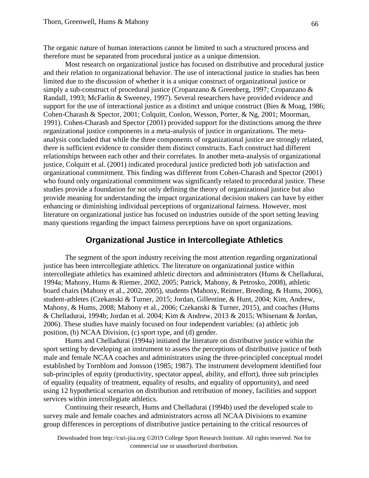The organic nature of human interactions cannot be limited to such a structured process and therefore must be separated from procedural justice as a unique dimension.

Most research on organizational justice has focused on distributive and procedural justice and their relation to organizational behavior. The use of interactional justice in studies has been limited due to the discussion of whether it is a unique construct of organizational justice or simply a sub-construct of procedural justice (Cropanzano & Greenberg, 1997; Cropanzano & Randall, 1993; McFarlin & Sweeney, 1997). Several researchers have provided evidence and support for the use of interactional justice as a distinct and unique construct (Bies & Moag, 1986; Cohen-Charash & Spector, 2001; Colquitt, Conlon, Wesson, Porter, & Ng, 2001; Moorman, 1991). Cohen-Charash and Spector (2001) provided support for the distinctions among the three organizational justice components in a meta-analysis of justice in organizations. The metaanalysis concluded that while the three components of organizational justice are strongly related, there is sufficient evidence to consider them distinct constructs. Each construct had different relationships between each other and their correlates. In another meta-analysis of organizational justice, Colquitt et al. (2001) indicated procedural justice predicted both job satisfaction and organizational commitment. This finding was different from Cohen-Charash and Spector (2001) who found only organizational commitment was significantly related to procedural justice. These studies provide a foundation for not only defining the theory of organizational justice but also provide meaning for understanding the impact organizational decision makers can have by either enhancing or diminishing individual perceptions of organizational fairness. However, most literature on organizational justice has focused on industries outside of the sport setting leaving many questions regarding the impact fairness perceptions have on sport organizations.

## **Organizational Justice in Intercollegiate Athletics**

The segment of the sport industry receiving the most attention regarding organizational justice has been intercollegiate athletics. The literature on organizational justice within intercollegiate athletics has examined athletic directors and administrators (Hums & Chelladurai, 1994a; Mahony, Hums & Riemer, 2002, 2005; Patrick, Mahony, & Petrosko, 2008), athletic board chairs (Mahony et al., 2002, 2005), students (Mahony, Reimer, Breeding, & Hums, 2006), student-athletes (Czekanski & Turner, 2015; Jordan, Gillentine, & Hunt, 2004; Kim, Andrew, Mahony, & Hums, 2008; Mahony et al., 2006; Czekanski & Turner, 2015), and coaches (Hums & Chelladurai, 1994b; Jordan et al. 2004; Kim & Andrew, 2013 & 2015; Whisenant & Jordan, 2006). These studies have mainly focused on four independent variables: (a) athletic job position, (b) NCAA Division, (c) sport type, and (d) gender.

Hums and Chelladurai (1994a) initiated the literature on distributive justice within the sport setting by developing an instrument to assess the perceptions of distributive justice of both male and female NCAA coaches and administrators using the three-principled conceptual model established by Tornblom and Jonsson (1985; 1987). The instrument development identified four sub-principles of equity (productivity, spectator appeal, ability, and effort), three sub principles of equality (equality of treatment, equality of results, and equality of opportunity), and need using 12 hypothetical scenarios on distribution and retribution of money, facilities and support services within intercollegiate athletics.

Continuing their research, Hums and Chelladurai (1994b) used the developed scale to survey male and female coaches and administrators across all NCAA Divisions to examine group differences in perceptions of distributive justice pertaining to the critical resources of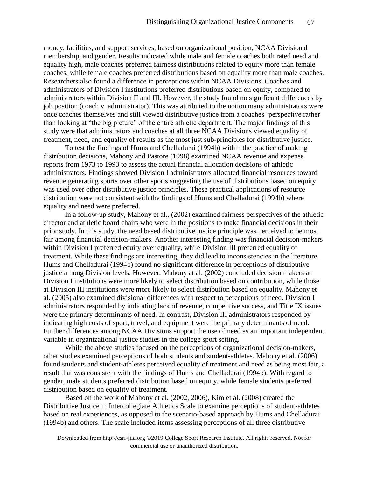money, facilities, and support services, based on organizational position, NCAA Divisional membership, and gender. Results indicated while male and female coaches both rated need and equality high, male coaches preferred fairness distributions related to equity more than female coaches, while female coaches preferred distributions based on equality more than male coaches. Researchers also found a difference in perceptions within NCAA Divisions. Coaches and administrators of Division I institutions preferred distributions based on equity, compared to administrators within Division II and III. However, the study found no significant differences by job position (coach v. administrator). This was attributed to the notion many administrators were once coaches themselves and still viewed distributive justice from a coaches' perspective rather than looking at "the big picture" of the entire athletic department. The major findings of this study were that administrators and coaches at all three NCAA Divisions viewed equality of treatment, need, and equality of results as the most just sub-principles for distributive justice.

To test the findings of Hums and Chelladurai (1994b) within the practice of making distribution decisions, Mahony and Pastore (1998) examined NCAA revenue and expense reports from 1973 to 1993 to assess the actual financial allocation decisions of athletic administrators. Findings showed Division I administrators allocated financial resources toward revenue generating sports over other sports suggesting the use of distributions based on equity was used over other distributive justice principles. These practical applications of resource distribution were not consistent with the findings of Hums and Chelladurai (1994b) where equality and need were preferred.

In a follow-up study, Mahony et al., (2002) examined fairness perspectives of the athletic director and athletic board chairs who were in the positions to make financial decisions in their prior study. In this study, the need based distributive justice principle was perceived to be most fair among financial decision-makers. Another interesting finding was financial decision-makers within Division I preferred equity over equality, while Division III preferred equality of treatment. While these findings are interesting, they did lead to inconsistencies in the literature. Hums and Chelladurai (1994b) found no significant difference in perceptions of distributive justice among Division levels. However, Mahony at al. (2002) concluded decision makers at Division I institutions were more likely to select distribution based on contribution, while those at Division III institutions were more likely to select distribution based on equality. Mahony et al. (2005) also examined divisional differences with respect to perceptions of need. Division I administrators responded by indicating lack of revenue, competitive success, and Title IX issues were the primary determinants of need. In contrast, Division III administrators responded by indicating high costs of sport, travel, and equipment were the primary determinants of need. Further differences among NCAA Divisions support the use of need as an important independent variable in organizational justice studies in the college sport setting.

While the above studies focused on the perceptions of organizational decision-makers, other studies examined perceptions of both students and student-athletes. Mahony et al. (2006) found students and student-athletes perceived equality of treatment and need as being most fair, a result that was consistent with the findings of Hums and Chelladurai (1994b). With regard to gender, male students preferred distribution based on equity, while female students preferred distribution based on equality of treatment.

Based on the work of Mahony et al. (2002, 2006), Kim et al. (2008) created the Distributive Justice in Intercollegiate Athletics Scale to examine perceptions of student-athletes based on real experiences, as opposed to the scenario-based approach by Hums and Chelladurai (1994b) and others. The scale included items assessing perceptions of all three distributive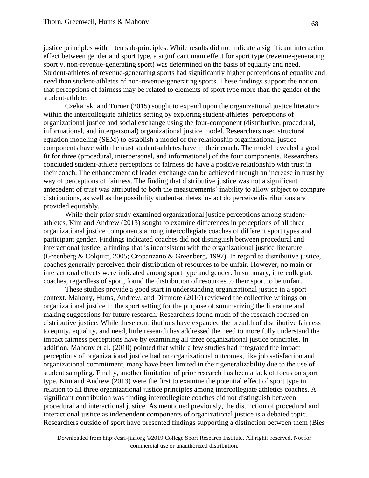justice principles within ten sub-principles. While results did not indicate a significant interaction effect between gender and sport type, a significant main effect for sport type (revenue-generating sport v. non-revenue-generating sport) was determined on the basis of equality and need. Student-athletes of revenue-generating sports had significantly higher perceptions of equality and need than student-athletes of non-revenue-generating sports. These findings support the notion that perceptions of fairness may be related to elements of sport type more than the gender of the student-athlete.

Czekanski and Turner (2015) sought to expand upon the organizational justice literature within the intercollegiate athletics setting by exploring student-athletes' perceptions of organizational justice and social exchange using the four-component (distributive, procedural, informational, and interpersonal) organizational justice model. Researchers used structural equation modeling (SEM) to establish a model of the relationship organizational justice components have with the trust student-athletes have in their coach. The model revealed a good fit for three (procedural, interpersonal, and informational) of the four components. Researchers concluded student-athlete perceptions of fairness do have a positive relationship with trust in their coach. The enhancement of leader exchange can be achieved through an increase in trust by way of perceptions of fairness. The finding that distributive justice was not a significant antecedent of trust was attributed to both the measurements' inability to allow subject to compare distributions, as well as the possibility student-athletes in-fact do perceive distributions are provided equitably.

While their prior study examined organizational justice perceptions among studentathletes, Kim and Andrew (2013) sought to examine differences in perceptions of all three organizational justice components among intercollegiate coaches of different sport types and participant gender. Findings indicated coaches did not distinguish between procedural and interactional justice, a finding that is inconsistent with the organizational justice literature (Greenberg & Colquitt, 2005; Cropanzano & Greenberg, 1997). In regard to distributive justice, coaches generally perceived their distribution of resources to be unfair. However, no main or interactional effects were indicated among sport type and gender. In summary, intercollegiate coaches, regardless of sport, found the distribution of resources to their sport to be unfair.

These studies provide a good start in understanding organizational justice in a sport context. Mahony, Hums, Andrew, and Dittmore (2010) reviewed the collective writings on organizational justice in the sport setting for the purpose of summarizing the literature and making suggestions for future research. Researchers found much of the research focused on distributive justice. While these contributions have expanded the breadth of distributive fairness to equity, equality, and need, little research has addressed the need to more fully understand the impact fairness perceptions have by examining all three organizational justice principles. In addition, Mahony et al. (2010) pointed that while a few studies had integrated the impact perceptions of organizational justice had on organizational outcomes, like job satisfaction and organizational commitment, many have been limited in their generalizability due to the use of student sampling. Finally, another limitation of prior research has been a lack of focus on sport type. Kim and Andrew (2013) were the first to examine the potential effect of sport type in relation to all three organizational justice principles among intercollegiate athletics coaches. A significant contribution was finding intercollegiate coaches did not distinguish between procedural and interactional justice. As mentioned previously, the distinction of procedural and interactional justice as independent components of organizational justice is a debated topic. Researchers outside of sport have presented findings supporting a distinction between them (Bies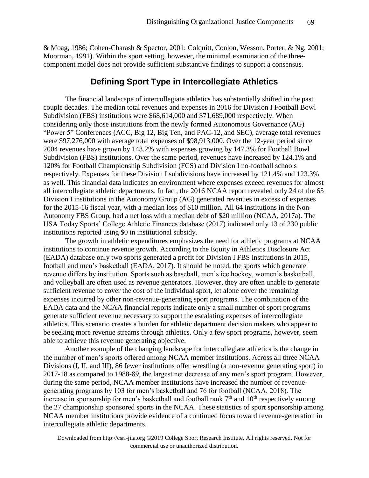& Moag, 1986; Cohen-Charash & Spector, 2001; Colquitt, Conlon, Wesson, Porter, & Ng, 2001; Moorman, 1991). Within the sport setting, however, the minimal examination of the threecomponent model does not provide sufficient substantive findings to support a consensus.

## **Defining Sport Type in Intercollegiate Athletics**

The financial landscape of intercollegiate athletics has substantially shifted in the past couple decades. The median total revenues and expenses in 2016 for Division I Football Bowl Subdivision (FBS) institutions were \$68,614,000 and \$71,689,000 respectively. When considering only those institutions from the newly formed Autonomous Governance (AG) "Power 5" Conferences (ACC, Big 12, Big Ten, and PAC-12, and SEC), average total revenues were \$97,276,000 with average total expenses of \$98,913,000. Over the 12-year period since 2004 revenues have grown by 143.2% with expenses growing by 147.3% for Football Bowl Subdivision (FBS) institutions. Over the same period, revenues have increased by 124.1% and 120% for Football Championship Subdivision (FCS) and Division I no-football schools respectively. Expenses for these Division I subdivisions have increased by 121.4% and 123.3% as well. This financial data indicates an environment where expenses exceed revenues for almost all intercollegiate athletic departments. In fact, the 2016 NCAA report revealed only 24 of the 65 Division I institutions in the Autonomy Group (AG) generated revenues in excess of expenses for the 2015-16 fiscal year, with a median loss of \$10 million. All 64 institutions in the Non-Autonomy FBS Group, had a net loss with a median debt of \$20 million (NCAA, 2017a). The USA Today Sports' College Athletic Finances database (2017) indicated only 13 of 230 public institutions reported using \$0 in institutional subsidy.

The growth in athletic expenditures emphasizes the need for athletic programs at NCAA institutions to continue revenue growth. According to the Equity in Athletics Disclosure Act (EADA) database only two sports generated a profit for Division I FBS institutions in 2015, football and men's basketball (EADA, 2017). It should be noted, the sports which generate revenue differs by institution. Sports such as baseball, men's ice hockey, women's basketball, and volleyball are often used as revenue generators. However, they are often unable to generate sufficient revenue to cover the cost of the individual sport, let alone cover the remaining expenses incurred by other non-revenue-generating sport programs. The combination of the EADA data and the NCAA financial reports indicate only a small number of sport programs generate sufficient revenue necessary to support the escalating expenses of intercollegiate athletics. This scenario creates a burden for athletic department decision makers who appear to be seeking more revenue streams through athletics. Only a few sport programs, however, seem able to achieve this revenue generating objective.

Another example of the changing landscape for intercollegiate athletics is the change in the number of men's sports offered among NCAA member institutions. Across all three NCAA Divisions (I, II, and III), 86 fewer institutions offer wrestling (a non-revenue generating sport) in 2017-18 as compared to 1988-89, the largest net decrease of any men's sport program. However, during the same period, NCAA member institutions have increased the number of revenuegenerating programs by 103 for men's basketball and 76 for football (NCAA, 2018). The increase in sponsorship for men's basketball and football rank  $7<sup>th</sup>$  and  $10<sup>th</sup>$  respectively among the 27 championship sponsored sports in the NCAA. These statistics of sport sponsorship among NCAA member institutions provide evidence of a continued focus toward revenue-generation in intercollegiate athletic departments.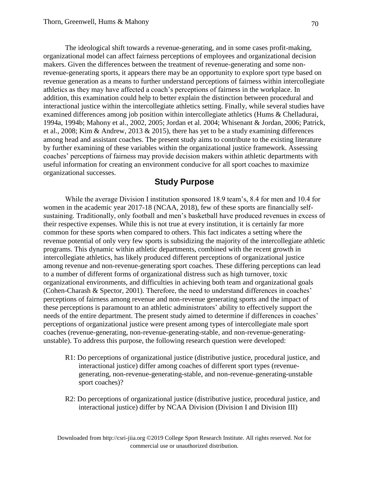The ideological shift towards a revenue-generating, and in some cases profit-making, organizational model can affect fairness perceptions of employees and organizational decision makers. Given the differences between the treatment of revenue-generating and some nonrevenue-generating sports, it appears there may be an opportunity to explore sport type based on revenue generation as a means to further understand perceptions of fairness within intercollegiate athletics as they may have affected a coach's perceptions of fairness in the workplace. In addition, this examination could help to better explain the distinction between procedural and interactional justice within the intercollegiate athletics setting. Finally, while several studies have examined differences among job position within intercollegiate athletics (Hums & Chelladurai, 1994a, 1994b; Mahony et al., 2002, 2005; Jordan et al. 2004; Whisenant & Jordan, 2006; Patrick, et al., 2008; Kim & Andrew, 2013 & 2015), there has yet to be a study examining differences among head and assistant coaches. The present study aims to contribute to the existing literature by further examining of these variables within the organizational justice framework. Assessing coaches' perceptions of fairness may provide decision makers within athletic departments with useful information for creating an environment conducive for all sport coaches to maximize organizational successes.

## **Study Purpose**

While the average Division I institution sponsored 18.9 team's, 8.4 for men and 10.4 for women in the academic year 2017-18 (NCAA, 2018), few of these sports are financially selfsustaining. Traditionally, only football and men's basketball have produced revenues in excess of their respective expenses. While this is not true at every institution, it is certainly far more common for these sports when compared to others. This fact indicates a setting where the revenue potential of only very few sports is subsidizing the majority of the intercollegiate athletic programs. This dynamic within athletic departments, combined with the recent growth in intercollegiate athletics, has likely produced different perceptions of organizational justice among revenue and non-revenue-generating sport coaches. These differing perceptions can lead to a number of different forms of organizational distress such as high turnover, toxic organizational environments, and difficulties in achieving both team and organizational goals (Cohen-Charash & Spector, 2001). Therefore, the need to understand differences in coaches' perceptions of fairness among revenue and non-revenue generating sports and the impact of these perceptions is paramount to an athletic administrators' ability to effectively support the needs of the entire department. The present study aimed to determine if differences in coaches' perceptions of organizational justice were present among types of intercollegiate male sport coaches (revenue-generating, non-revenue-generating-stable, and non-revenue-generatingunstable). To address this purpose, the following research question were developed:

- R1: Do perceptions of organizational justice (distributive justice, procedural justice, and interactional justice) differ among coaches of different sport types (revenuegenerating, non-revenue-generating-stable, and non-revenue-generating-unstable sport coaches)?
- R2: Do perceptions of organizational justice (distributive justice, procedural justice, and interactional justice) differ by NCAA Division (Division I and Division III)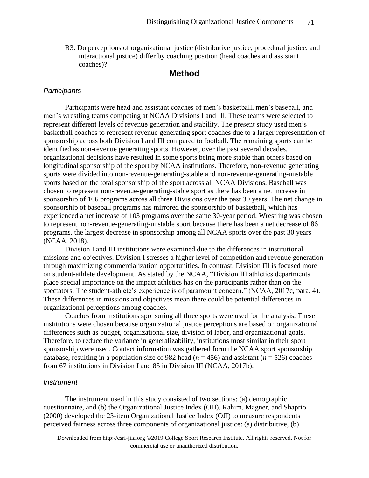R3: Do perceptions of organizational justice (distributive justice, procedural justice, and interactional justice) differ by coaching position (head coaches and assistant coaches)?

## **Method**

#### *Participants*

Participants were head and assistant coaches of men's basketball, men's baseball, and men's wrestling teams competing at NCAA Divisions I and III. These teams were selected to represent different levels of revenue generation and stability. The present study used men's basketball coaches to represent revenue generating sport coaches due to a larger representation of sponsorship across both Division I and III compared to football. The remaining sports can be identified as non-revenue generating sports. However, over the past several decades, organizational decisions have resulted in some sports being more stable than others based on longitudinal sponsorship of the sport by NCAA institutions. Therefore, non-revenue generating sports were divided into non-revenue-generating-stable and non-revenue-generating-unstable sports based on the total sponsorship of the sport across all NCAA Divisions. Baseball was chosen to represent non-revenue-generating-stable sport as there has been a net increase in sponsorship of 106 programs across all three Divisions over the past 30 years. The net change in sponsorship of baseball programs has mirrored the sponsorship of basketball, which has experienced a net increase of 103 programs over the same 30-year period. Wrestling was chosen to represent non-revenue-generating-unstable sport because there has been a net decrease of 86 programs, the largest decrease in sponsorship among all NCAA sports over the past 30 years (NCAA, 2018).

Division I and III institutions were examined due to the differences in institutional missions and objectives. Division I stresses a higher level of competition and revenue generation through maximizing commercialization opportunities. In contrast, Division III is focused more on student-athlete development. As stated by the NCAA, "Division III athletics departments place special importance on the impact athletics has on the participants rather than on the spectators. The student-athlete's experience is of paramount concern." (NCAA, 2017c, para. 4). These differences in missions and objectives mean there could be potential differences in organizational perceptions among coaches.

Coaches from institutions sponsoring all three sports were used for the analysis. These institutions were chosen because organizational justice perceptions are based on organizational differences such as budget, organizational size, division of labor, and organizational goals. Therefore, to reduce the variance in generalizability, institutions most similar in their sport sponsorship were used. Contact information was gathered form the NCAA sport sponsorship database, resulting in a population size of 982 head ( $n = 456$ ) and assistant ( $n = 526$ ) coaches from 67 institutions in Division I and 85 in Division III (NCAA, 2017b).

#### *Instrument*

The instrument used in this study consisted of two sections: (a) demographic questionnaire, and (b) the Organizational Justice Index (OJI). Rahim, Magner, and Shaprio (2000) developed the 23-item Organizational Justice Index (OJI) to measure respondents perceived fairness across three components of organizational justice: (a) distributive, (b)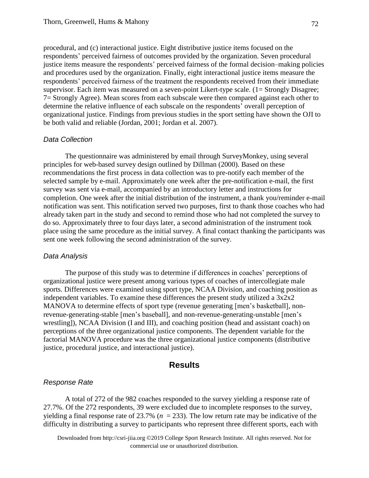procedural, and (c) interactional justice. Eight distributive justice items focused on the respondents' perceived fairness of outcomes provided by the organization. Seven procedural justice items measure the respondents' perceived fairness of the formal decision–making policies and procedures used by the organization. Finally, eight interactional justice items measure the respondents' perceived fairness of the treatment the respondents received from their immediate supervisor. Each item was measured on a seven-point Likert-type scale. (1= Strongly Disagree; 7= Strongly Agree). Mean scores from each subscale were then compared against each other to determine the relative influence of each subscale on the respondents' overall perception of organizational justice. Findings from previous studies in the sport setting have shown the OJI to be both valid and reliable (Jordan, 2001; Jordan et al. 2007).

#### *Data Collection*

The questionnaire was administered by email through SurveyMonkey, using several principles for web-based survey design outlined by Dillman (2000). Based on these recommendations the first process in data collection was to pre-notify each member of the selected sample by e-mail. Approximately one week after the pre-notification e-mail, the first survey was sent via e-mail, accompanied by an introductory letter and instructions for completion. One week after the initial distribution of the instrument, a thank you/reminder e-mail notification was sent. This notification served two purposes, first to thank those coaches who had already taken part in the study and second to remind those who had not completed the survey to do so. Approximately three to four days later, a second administration of the instrument took place using the same procedure as the initial survey. A final contact thanking the participants was sent one week following the second administration of the survey.

#### *Data Analysis*

The purpose of this study was to determine if differences in coaches' perceptions of organizational justice were present among various types of coaches of intercollegiate male sports. Differences were examined using sport type, NCAA Division, and coaching position as independent variables. To examine these differences the present study utilized a 3x2x2 MANOVA to determine effects of sport type (revenue generating [men's basketball], nonrevenue-generating-stable [men's baseball], and non-revenue-generating-unstable [men's wrestling]), NCAA Division (I and III), and coaching position (head and assistant coach) on perceptions of the three organizational justice components. The dependent variable for the factorial MANOVA procedure was the three organizational justice components (distributive justice, procedural justice, and interactional justice).

#### **Results**

#### *Response Rate*

A total of 272 of the 982 coaches responded to the survey yielding a response rate of 27.7%. Of the 272 respondents, 39 were excluded due to incomplete responses to the survey, yielding a final response rate of 23.7% ( $n = 233$ ). The low return rate may be indicative of the difficulty in distributing a survey to participants who represent three different sports, each with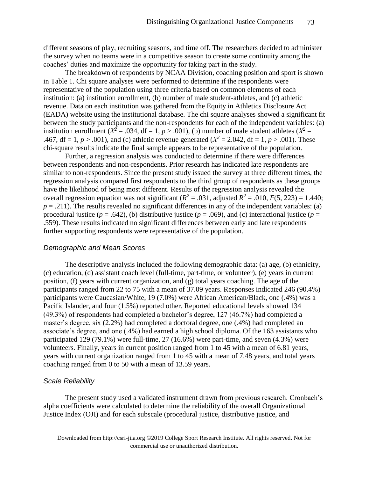different seasons of play, recruiting seasons, and time off. The researchers decided to administer the survey when no teams were in a competitive season to create some continuity among the coaches' duties and maximize the opportunity for taking part in the study.

The breakdown of respondents by NCAA Division, coaching position and sport is shown in Table 1. Chi square analyses were performed to determine if the respondents were representative of the population using three criteria based on common elements of each institution: (a) institution enrollment, (b) number of male student-athletes, and (c) athletic revenue. Data on each institution was gathered from the Equity in Athletics Disclosure Act (EADA) website using the institutional database. The chi square analyses showed a significant fit between the study participants and the non-respondents for each of the independent variables: (a) institution enrollment ( $X^2 = .034$ , df = 1,  $p > .001$ ), (b) number of male student athletes ( $X^2 =$ .467, df = 1,  $p > .001$ ), and (c) athletic revenue generated ( $X^2 = 2.042$ , df = 1,  $p > .001$ ). These chi-square results indicate the final sample appears to be representative of the population.

Further, a regression analysis was conducted to determine if there were differences between respondents and non-respondents. Prior research has indicated late respondents are similar to non-respondents. Since the present study issued the survey at three different times, the regression analysis compared first respondents to the third group of respondents as these groups have the likelihood of being most different. Results of the regression analysis revealed the overall regression equation was not significant ( $R^2 = .031$ , adjusted  $R^2 = .010$ ,  $F(5, 223) = 1.440$ ;  $p = .211$ ). The results revealed no significant differences in any of the independent variables: (a) procedural justice ( $p = .642$ ), (b) distributive justice ( $p = .069$ ), and (c) interactional justice ( $p =$ .559). These results indicated no significant differences between early and late respondents further supporting respondents were representative of the population.

#### *Demographic and Mean Scores*

The descriptive analysis included the following demographic data: (a) age, (b) ethnicity, (c) education, (d) assistant coach level (full-time, part-time, or volunteer), (e) years in current position, (f) years with current organization, and (g) total years coaching. The age of the participants ranged from 22 to 75 with a mean of 37.09 years. Responses indicated 246 (90.4%) participants were Caucasian/White, 19 (7.0%) were African American/Black, one (.4%) was a Pacific Islander, and four (1.5%) reported other. Reported educational levels showed 134 (49.3%) of respondents had completed a bachelor's degree, 127 (46.7%) had completed a master's degree, six (2.2%) had completed a doctoral degree, one (.4%) had completed an associate's degree, and one (.4%) had earned a high school diploma. Of the 163 assistants who participated 129 (79.1%) were full-time, 27 (16.6%) were part-time, and seven (4.3%) were volunteers. Finally, years in current position ranged from 1 to 45 with a mean of 6.81 years, years with current organization ranged from 1 to 45 with a mean of 7.48 years, and total years coaching ranged from 0 to 50 with a mean of 13.59 years.

#### *Scale Reliability*

The present study used a validated instrument drawn from previous research. Cronbach's alpha coefficients were calculated to determine the reliability of the overall Organizational Justice Index (OJI) and for each subscale (procedural justice, distributive justice, and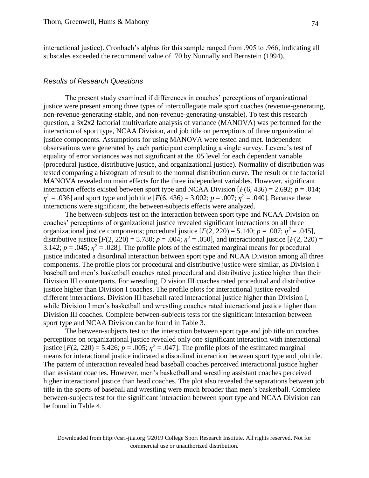interactional justice). Cronbach's alphas for this sample ranged from .905 to .966, indicating all subscales exceeded the recommend value of .70 by Nunnally and Bernstein (1994).

#### *Results of Research Questions*

The present study examined if differences in coaches' perceptions of organizational justice were present among three types of intercollegiate male sport coaches (revenue-generating, non-revenue-generating-stable, and non-revenue-generating-unstable). To test this research question, a 3x2x2 factorial multivariate analysis of variance (MANOVA) was performed for the interaction of sport type, NCAA Division, and job title on perceptions of three organizational justice components. Assumptions for using MANOVA were tested and met. Independent observations were generated by each participant completing a single survey. Levene's test of equality of error variances was not significant at the .05 level for each dependent variable (procedural justice, distributive justice, and organizational justice). Normality of distribution was tested comparing a histogram of result to the normal distribution curve. The result or the factorial MANOVA revealed no main effects for the three independent variables. However, significant interaction effects existed between sport type and NCAA Division  $[F(6, 436) = 2.692; p = .014;$  $\eta^2 = .036$ ] and sport type and job title [*F*(6, 436) = 3.002; *p* = .007;  $\eta^2 = .040$ ]. Because these interactions were significant, the between-subjects effects were analyzed.

The between-subjects test on the interaction between sport type and NCAA Division on coaches' perceptions of organizational justice revealed significant interactions on all three organizational justice components; procedural justice  $[F(2, 220) = 5.140; p = .007; \eta^2 = .045]$ , distributive justice  $[F(2, 220) = 5.780; p = .004; \eta^2 = .050]$ , and interactional justice  $[F(2, 220) =$ 3.142;  $p = .045$ ;  $\eta^2 = .028$ ]. The profile plots of the estimated marginal means for procedural justice indicated a disordinal interaction between sport type and NCAA Division among all three components. The profile plots for procedural and distributive justice were similar, as Division I baseball and men's basketball coaches rated procedural and distributive justice higher than their Division III counterparts. For wrestling, Division III coaches rated procedural and distributive justice higher than Division I coaches. The profile plots for interactional justice revealed different interactions. Division III baseball rated interactional justice higher than Division I, while Division I men's basketball and wrestling coaches rated interactional justice higher than Division III coaches. Complete between-subjects tests for the significant interaction between sport type and NCAA Division can be found in Table 3.

The between-subjects test on the interaction between sport type and job title on coaches perceptions on organizational justice revealed only one significant interaction with interactional justice  $[F(2, 220) = 5.426; p = .005; \eta^2 = .047]$ . The profile plots of the estimated marginal means for interactional justice indicated a disordinal interaction between sport type and job title. The pattern of interaction revealed head baseball coaches perceived interactional justice higher than assistant coaches. However, men's basketball and wrestling assistant coaches perceived higher interactional justice than head coaches. The plot also revealed the separations between job title in the sports of baseball and wrestling were much broader than men's basketball. Complete between-subjects test for the significant interaction between sport type and NCAA Division can be found in Table 4.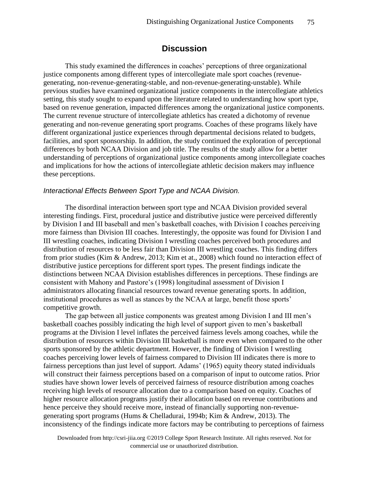## **Discussion**

This study examined the differences in coaches' perceptions of three organizational justice components among different types of intercollegiate male sport coaches (revenuegenerating, non-revenue-generating-stable, and non-revenue-generating-unstable). While previous studies have examined organizational justice components in the intercollegiate athletics setting, this study sought to expand upon the literature related to understanding how sport type, based on revenue generation, impacted differences among the organizational justice components. The current revenue structure of intercollegiate athletics has created a dichotomy of revenue generating and non-revenue generating sport programs. Coaches of these programs likely have different organizational justice experiences through departmental decisions related to budgets, facilities, and sport sponsorship. In addition, the study continued the exploration of perceptional differences by both NCAA Division and job title. The results of the study allow for a better understanding of perceptions of organizational justice components among intercollegiate coaches and implications for how the actions of intercollegiate athletic decision makers may influence these perceptions.

#### *Interactional Effects Between Sport Type and NCAA Division.*

The disordinal interaction between sport type and NCAA Division provided several interesting findings. First, procedural justice and distributive justice were perceived differently by Division I and III baseball and men's basketball coaches, with Division I coaches perceiving more fairness than Division III coaches. Interestingly, the opposite was found for Division I and III wrestling coaches, indicating Division I wrestling coaches perceived both procedures and distribution of resources to be less fair than Division III wrestling coaches. This finding differs from prior studies (Kim & Andrew, 2013; Kim et at., 2008) which found no interaction effect of distributive justice perceptions for different sport types. The present findings indicate the distinctions between NCAA Division establishes differences in perceptions. These findings are consistent with Mahony and Pastore's (1998) longitudinal assessment of Division I administrators allocating financial resources toward revenue generating sports. In addition, institutional procedures as well as stances by the NCAA at large, benefit those sports' competitive growth.

The gap between all justice components was greatest among Division I and III men's basketball coaches possibly indicating the high level of support given to men's basketball programs at the Division I level inflates the perceived fairness levels among coaches, while the distribution of resources within Division III basketball is more even when compared to the other sports sponsored by the athletic department. However, the finding of Division I wrestling coaches perceiving lower levels of fairness compared to Division III indicates there is more to fairness perceptions than just level of support. Adams' (1965) equity theory stated individuals will construct their fairness perceptions based on a comparison of input to outcome ratios. Prior studies have shown lower levels of perceived fairness of resource distribution among coaches receiving high levels of resource allocation due to a comparison based on equity. Coaches of higher resource allocation programs justify their allocation based on revenue contributions and hence perceive they should receive more, instead of financially supporting non-revenuegenerating sport programs (Hums & Chelladurai, 1994b; Kim & Andrew, 2013). The inconsistency of the findings indicate more factors may be contributing to perceptions of fairness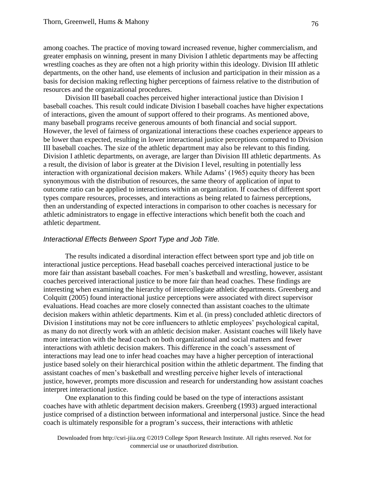among coaches. The practice of moving toward increased revenue, higher commercialism, and greater emphasis on winning, present in many Division I athletic departments may be affecting wrestling coaches as they are often not a high priority within this ideology. Division III athletic departments, on the other hand, use elements of inclusion and participation in their mission as a basis for decision making reflecting higher perceptions of fairness relative to the distribution of resources and the organizational procedures.

Division III baseball coaches perceived higher interactional justice than Division I baseball coaches. This result could indicate Division I baseball coaches have higher expectations of interactions, given the amount of support offered to their programs. As mentioned above, many baseball programs receive generous amounts of both financial and social support. However, the level of fairness of organizational interactions these coaches experience appears to be lower than expected, resulting in lower interactional justice perceptions compared to Division III baseball coaches. The size of the athletic department may also be relevant to this finding. Division I athletic departments, on average, are larger than Division III athletic departments. As a result, the division of labor is greater at the Division I level, resulting in potentially less interaction with organizational decision makers. While Adams' (1965) equity theory has been synonymous with the distribution of resources, the same theory of application of input to outcome ratio can be applied to interactions within an organization. If coaches of different sport types compare resources, processes, and interactions as being related to fairness perceptions, then an understanding of expected interactions in comparison to other coaches is necessary for athletic administrators to engage in effective interactions which benefit both the coach and athletic department.

#### *Interactional Effects Between Sport Type and Job Title.*

The results indicated a disordinal interaction effect between sport type and job title on interactional justice perceptions. Head baseball coaches perceived interactional justice to be more fair than assistant baseball coaches. For men's basketball and wrestling, however, assistant coaches perceived interactional justice to be more fair than head coaches. These findings are interesting when examining the hierarchy of intercollegiate athletic departments. Greenberg and Colquitt (2005) found interactional justice perceptions were associated with direct supervisor evaluations. Head coaches are more closely connected than assistant coaches to the ultimate decision makers within athletic departments. Kim et al. (in press) concluded athletic directors of Division I institutions may not be core influencers to athletic employees' psychological capital, as many do not directly work with an athletic decision maker. Assistant coaches will likely have more interaction with the head coach on both organizational and social matters and fewer interactions with athletic decision makers. This difference in the coach's assessment of interactions may lead one to infer head coaches may have a higher perception of interactional justice based solely on their hierarchical position within the athletic department. The finding that assistant coaches of men's basketball and wrestling perceive higher levels of interactional justice, however, prompts more discussion and research for understanding how assistant coaches interpret interactional justice.

One explanation to this finding could be based on the type of interactions assistant coaches have with athletic department decision makers. Greenberg (1993) argued interactional justice comprised of a distinction between informational and interpersonal justice. Since the head coach is ultimately responsible for a program's success, their interactions with athletic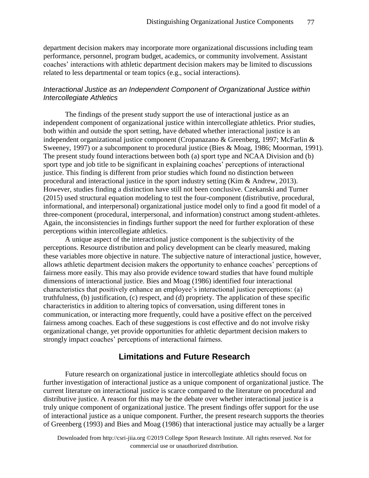department decision makers may incorporate more organizational discussions including team performance, personnel, program budget, academics, or community involvement. Assistant coaches' interactions with athletic department decision makers may be limited to discussions related to less departmental or team topics (e.g., social interactions).

## *Interactional Justice as an Independent Component of Organizational Justice within Intercollegiate Athletics*

The findings of the present study support the use of interactional justice as an independent component of organizational justice within intercollegiate athletics. Prior studies, both within and outside the sport setting, have debated whether interactional justice is an independent organizational justice component (Cropanazano & Greenberg, 1997; McFarlin & Sweeney, 1997) or a subcomponent to procedural justice (Bies & Moag, 1986; Moorman, 1991). The present study found interactions between both (a) sport type and NCAA Division and (b) sport type and job title to be significant in explaining coaches' perceptions of interactional justice. This finding is different from prior studies which found no distinction between procedural and interactional justice in the sport industry setting (Kim & Andrew, 2013). However, studies finding a distinction have still not been conclusive. Czekanski and Turner (2015) used structural equation modeling to test the four-component (distributive, procedural, informational, and interpersonal) organizational justice model only to find a good fit model of a three-component (procedural, interpersonal, and information) construct among student-athletes. Again, the inconsistencies in findings further support the need for further exploration of these perceptions within intercollegiate athletics.

A unique aspect of the interactional justice component is the subjectivity of the perceptions. Resource distribution and policy development can be clearly measured, making these variables more objective in nature. The subjective nature of interactional justice, however, allows athletic department decision makers the opportunity to enhance coaches' perceptions of fairness more easily. This may also provide evidence toward studies that have found multiple dimensions of interactional justice. Bies and Moag (1986) identified four interactional characteristics that positively enhance an employee's interactional justice perceptions: (a) truthfulness, (b) justification, (c) respect, and (d) propriety. The application of these specific characteristics in addition to altering topics of conversation, using different tones in communication, or interacting more frequently, could have a positive effect on the perceived fairness among coaches. Each of these suggestions is cost effective and do not involve risky organizational change, yet provide opportunities for athletic department decision makers to strongly impact coaches' perceptions of interactional fairness.

## **Limitations and Future Research**

Future research on organizational justice in intercollegiate athletics should focus on further investigation of interactional justice as a unique component of organizational justice. The current literature on interactional justice is scarce compared to the literature on procedural and distributive justice. A reason for this may be the debate over whether interactional justice is a truly unique component of organizational justice. The present findings offer support for the use of interactional justice as a unique component. Further, the present research supports the theories of Greenberg (1993) and Bies and Moag (1986) that interactional justice may actually be a larger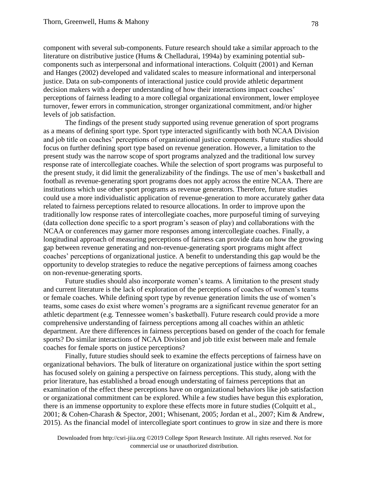component with several sub-components. Future research should take a similar approach to the literature on distributive justice (Hums & Chelladurai, 1994a) by examining potential subcomponents such as interpersonal and informational interactions. Colquitt (2001) and Kernan and Hanges (2002) developed and validated scales to measure informational and interpersonal justice. Data on sub-components of interactional justice could provide athletic department decision makers with a deeper understanding of how their interactions impact coaches' perceptions of fairness leading to a more collegial organizational environment, lower employee turnover, fewer errors in communication, stronger organizational commitment, and/or higher levels of job satisfaction.

The findings of the present study supported using revenue generation of sport programs as a means of defining sport type. Sport type interacted significantly with both NCAA Division and job title on coaches' perceptions of organizational justice components. Future studies should focus on further defining sport type based on revenue generation. However, a limitation to the present study was the narrow scope of sport programs analyzed and the traditional low survey response rate of intercollegiate coaches. While the selection of sport programs was purposeful to the present study, it did limit the generalizability of the findings. The use of men's basketball and football as revenue-generating sport programs does not apply across the entire NCAA. There are institutions which use other sport programs as revenue generators. Therefore, future studies could use a more individualistic application of revenue-generation to more accurately gather data related to fairness perceptions related to resource allocations. In order to improve upon the traditionally low response rates of intercollegiate coaches, more purposeful timing of surveying (data collection done specific to a sport program's season of play) and collaborations with the NCAA or conferences may garner more responses among intercollegiate coaches. Finally, a longitudinal approach of measuring perceptions of fairness can provide data on how the growing gap between revenue generating and non-revenue-generating sport programs might affect coaches' perceptions of organizational justice. A benefit to understanding this gap would be the opportunity to develop strategies to reduce the negative perceptions of fairness among coaches on non-revenue-generating sports.

Future studies should also incorporate women's teams. A limitation to the present study and current literature is the lack of exploration of the perceptions of coaches of women's teams or female coaches. While defining sport type by revenue generation limits the use of women's teams, some cases do exist where women's programs are a significant revenue generator for an athletic department (e.g. Tennessee women's basketball). Future research could provide a more comprehensive understanding of fairness perceptions among all coaches within an athletic department. Are there differences in fairness perceptions based on gender of the coach for female sports? Do similar interactions of NCAA Division and job title exist between male and female coaches for female sports on justice perceptions?

Finally, future studies should seek to examine the effects perceptions of fairness have on organizational behaviors. The bulk of literature on organizational justice within the sport setting has focused solely on gaining a perspective on fairness perceptions. This study, along with the prior literature, has established a broad enough understating of fairness perceptions that an examination of the effect these perceptions have on organizational behaviors like job satisfaction or organizational commitment can be explored. While a few studies have begun this exploration, there is an immense opportunity to explore these effects more in future studies (Colquitt et al., 2001; & Cohen-Charash & Spector, 2001; Whisenant, 2005; Jordan et al., 2007; Kim & Andrew, 2015). As the financial model of intercollegiate sport continues to grow in size and there is more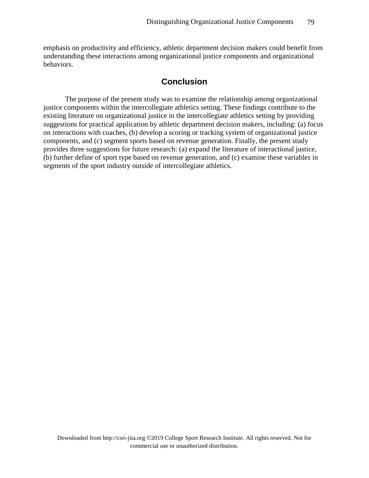emphasis on productivity and efficiency, athletic department decision makers could benefit from understanding these interactions among organizational justice components and organizational behaviors.

## **Conclusion**

The purpose of the present study was to examine the relationship among organizational justice components within the intercollegiate athletics setting. These findings contribute to the existing literature on organizational justice in the intercollegiate athletics setting by providing suggestions for practical application by athletic department decision makers, including: (a) focus on interactions with coaches, (b) develop a scoring or tracking system of organizational justice components, and (c) segment sports based on revenue generation. Finally, the present study provides three suggestions for future research: (a) expand the literature of interactional justice, (b) further define of sport type based on revenue generation, and (c) examine these variables in segments of the sport industry outside of intercollegiate athletics.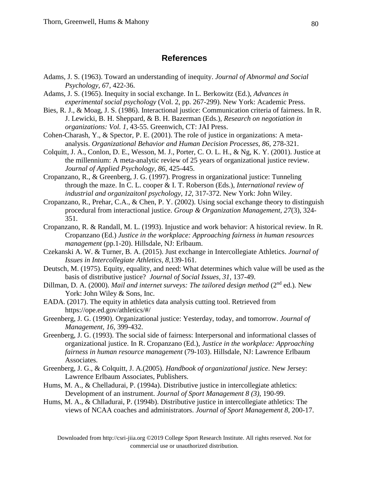## **References**

- Adams, J. S. (1963). Toward an understanding of inequity. *Journal of Abnormal and Social Psychology, 6*7, 422-36.
- Adams, J. S. (1965). Inequity in social exchange. In L. Berkowitz (Ed.), *Advances in experimental social psychology* (Vol. 2, pp. 267-299). New York: Academic Press.
- Bies, R. J., & Moag, J. S. (1986). Interactional justice: Communication criteria of fairness. In R. J. Lewicki, B. H. Sheppard, & B. H. Bazerman (Eds.), *Research on negotiation in organizations: Vol. 1,* 43-55. Greenwich, CT: JAI Press.
- Cohen-Charash, Y., & Spector, P. E. (2001). The role of justice in organizations: A metaanalysis. *Organizational Behavior and Human Decision Processes, 86,* 278-321.
- Colquitt, J. A., Conlon, D. E., Wesson, M. J., Porter, C. O. L. H., & Ng, K. Y. (2001). Justice at the millennium: A meta-analytic review of 25 years of organizational justice review. *Journal of Applied Psychology, 86,* 425-445.
- Cropanzano, R., & Greenberg, J. G. (1997). Progress in organizational justice: Tunneling through the maze. In C. L. cooper & I. T. Roberson (Eds.), *International review of industrial and organizaitonl psychology, 12,* 317-372. New York: John Wiley.
- Cropanzano, R., Prehar, C.A., & Chen, P. Y. (2002). Using social exchange theory to distinguish procedural from interactional justice. *Group & Organization Management, 27*(3), 324- 351.
- Cropanzano, R. & Randall, M. L. (1993). Injustice and work behavior: A historical review. In R. Cropanzano (Ed.) *Justice in the workplace: Approaching fairness in human resources management* (pp.1-20). Hillsdale, NJ: Erlbaum.
- Czekanski A. W. & Turner, B. A. (2015). Just exchange in Intercollegiate Athletics. *Journal of Issues in Intercollegiate Athletics, 8,*139-161.
- Deutsch, M. (1975). Equity, equality, and need: What determines which value will be used as the basis of distributive justice? *Journal of Social Issues, 31,* 137-49.
- Dillman, D. A. (2000). *Mail and internet surveys: The tailored design method* (2<sup>nd</sup> ed.). New York: John Wiley & Sons, Inc.
- EADA. (2017). The equity in athletics data analysis cutting tool. Retrieved from https://ope.ed.gov/athletics/#/
- Greenberg, J. G. (1990). Organizational justice: Yesterday, today, and tomorrow. *Journal of Management, 16,* 399-432.
- Greenberg, J. G. (1993). The social side of fairness: Interpersonal and informational classes of organizational justice. In R. Cropanzano (Ed.), *Justice in the workplace: Approaching fairness in human resource management* (79-103). Hillsdale, NJ: Lawrence Erlbaum Associates.
- Greenberg, J. G., & Colquitt, J. A.(2005). *Handbook of organizational justice*. New Jersey: Lawrence Erlbaum Associates, Publishers.
- Hums, M. A., & Chelladurai, P. (1994a). Distributive justice in intercollegiate athletics: Development of an instrument. *Journal of Sport Management 8 (3)*, 190-99.
- Hums, M. A., & Chlladurai, P. (1994b). Distributive justice in intercollegiate athletics: The views of NCAA coaches and administrators. *Journal of Sport Management 8*, 200-17.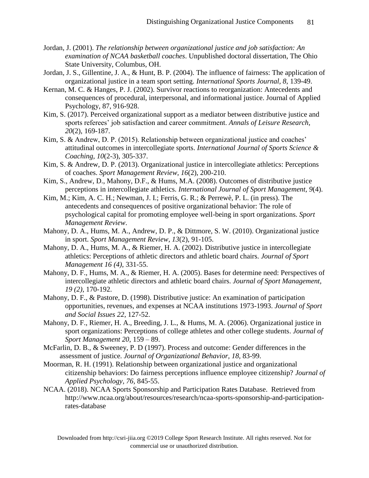- Jordan, J. (2001). *The relationship between organizational justice and job satisfaction: An examination of NCAA basketball coaches*. Unpublished doctoral dissertation, The Ohio State University, Columbus, OH.
- Jordan, J. S., Gillentine, J. A., & Hunt, B. P. (2004). The influence of fairness: The application of organizational justice in a team sport setting. *International Sports Journal, 8,* 139-49.
- Kernan, M. C. & Hanges, P. J. (2002). Survivor reactions to reorganization: Antecedents and consequences of procedural, interpersonal, and informational justice. Journal of Applied Psychology, 87, 916-928.
- Kim, S. (2017). Perceived organizational support as a mediator between distributive justice and sports referees' job satisfaction and career commitment. *Annals of Leisure Research, 20*(2), 169-187.
- Kim, S. & Andrew, D. P. (2015). Relationship between organizational justice and coaches' attitudinal outcomes in intercollegiate sports. *International Journal of Sports Science & Coaching, 10*(2-3), 305-337.
- Kim, S. & Andrew, D. P. (2013). Organizational justice in intercollegiate athletics: Perceptions of coaches. *Sport Management Review, 16*(2), 200-210.
- Kim, S., Andrew, D., Mahony, D.F., & Hums, M.A. (2008). Outcomes of distributive justice perceptions in intercollegiate athletics. *International Journal of Sport Management, 9*(4).
- Kim, M.; Kim, A. C. H.; Newman, J. I.; Ferris, G. R.; & Perrewè, P. L. (in press). The antecedents and consequences of positive organizational behavior: The role of psychological capital for promoting employee well-being in sport organizations. *Sport Management Review*.
- Mahony, D. A., Hums, M. A., Andrew, D. P., & Dittmore, S. W. (2010). Organizational justice in sport. *Sport Management Review, 13*(2), 91-105.
- Mahony, D. A., Hums, M. A., & Riemer, H. A. (2002). Distributive justice in intercollegiate athletics: Perceptions of athletic directors and athletic board chairs. *Journal of Sport Management 16 (4)*, 331-55.
- Mahony, D. F., Hums, M. A., & Riemer, H. A. (2005). Bases for determine need: Perspectives of intercollegiate athletic directors and athletic board chairs. *Journal of Sport Management, 19 (2),* 170-192.
- Mahony, D. F., & Pastore, D. (1998). Distributive justice: An examination of participation opportunities, revenues, and expenses at NCAA institutions 1973-1993. *Journal of Sport and Social Issues 22*, 127-52.
- Mahony, D. F., Riemer, H. A., Breeding, J. L., & Hums, M. A. (2006). Organizational justice in sport organizations: Perceptions of college athletes and other college students. *Journal of Sport Management 20*, 159 – 89.
- McFarlin, D. B., & Sweeney, P. D (1997). Process and outcome: Gender differences in the assessment of justice. *Journal of Organizational Behavior, 18,* 83-99.
- Moorman, R. H. (1991). Relationship between organizational justice and organizational citizenship behaviors: Do fairness perceptions influence employee citizenship? *Journal of Applied Psychology, 76,* 845-55.
- NCAA. (2018). NCAA Sports Sponsorship and Participation Rates Database. Retrieved from http://www.ncaa.org/about/resources/research/ncaa-sports-sponsorship-and-participationrates-database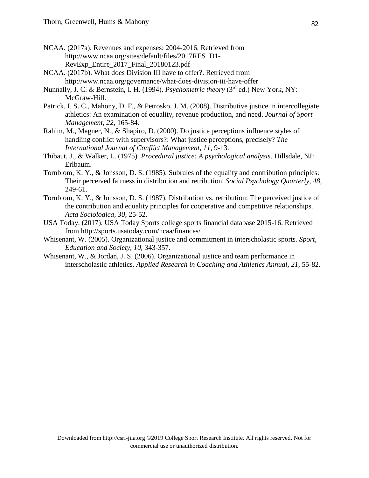- NCAA. (2017a). Revenues and expenses: 2004-2016. Retrieved from http://www.ncaa.org/sites/default/files/2017RES\_D1- RevExp\_Entire\_2017\_Final\_20180123.pdf
- NCAA. (2017b). What does Division III have to offer?. Retrieved from http://www.ncaa.org/governance/what-does-division-iii-have-offer
- Nunnally, J. C. & Bernstein, I. H. (1994). *Psychometric theory* (3rd ed.) New York, NY: McGraw-Hill.
- Patrick, I. S. C., Mahony, D. F., & Petrosko, J. M. (2008). Distributive justice in intercollegiate athletics: An examination of equality, revenue production, and need. *Journal of Sport Management, 22,* 165-84.
- Rahim, M., Magner, N., & Shapiro, D. (2000). Do justice perceptions influence styles of handling conflict with supervisors?: What justice perceptions, precisely? *The International Journal of Conflict Management, 11*, 9-13.
- Thibaut, J., & Walker, L. (1975). *Procedural justice: A psychological analysis.* Hillsdale, NJ: Erlbaum.
- Tornblom, K. Y., & Jonsson, D. S. (1985). Subrules of the equality and contribution principles: Their perceived fairness in distribution and retribution. *Social Psychology Quarterly, 48*, 249-61.
- Tornblom, K. Y., & Jonsson, D. S. (1987). Distribution vs. retribution: The perceived justice of the contribution and equality principles for cooperative and competitive relationships. *Acta Sociologica, 30*, 25-52.
- USA Today. (2017). USA Today Sports college sports financial database 2015-16. Retrieved from http://sports.usatoday.com/ncaa/finances/
- Whisenant, W. (2005). Organizational justice and commitment in interscholastic sports. *Sport, Education and Society, 10,* 343-357.
- Whisenant, W., & Jordan, J. S. (2006). Organizational justice and team performance in interscholastic athletics. *Applied Research in Coaching and Athletics Annual, 21,* 55-82.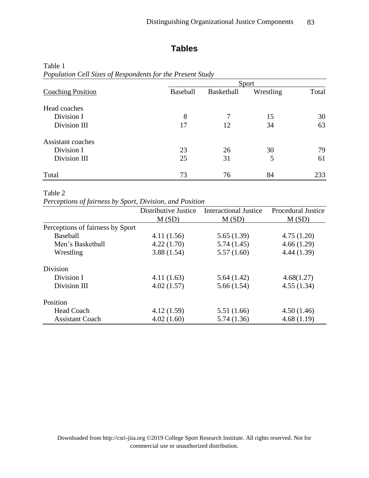# **Tables**

| $\overline{\phantom{a}}$ | Sport           |            |           |       |
|--------------------------|-----------------|------------|-----------|-------|
| <b>Coaching Position</b> | <b>Baseball</b> | Basketball | Wrestling | Total |
| Head coaches             |                 |            |           |       |
| Division I               | 8               |            | 15        | 30    |
| Division III             | 17              | 12         | 34        | 63    |
| Assistant coaches        |                 |            |           |       |
| Division I               | 23              | 26         | 30        | 79    |
| Division III             | 25              | 31         | 5         | 61    |
| Total                    | 73              | 76         | 84        | 233   |

#### Table 1 *Population Cell Sizes of Respondents for the Present Study*

#### Table 2

*Perceptions of fairness by Sport, Division, and Position*

|                                  | Distributive Justice | <b>Interactional Justice</b> | <b>Procedural Justice</b> |
|----------------------------------|----------------------|------------------------------|---------------------------|
|                                  | M(SD)                | M(SD)                        | M(SD)                     |
| Perceptions of fairness by Sport |                      |                              |                           |
| Baseball                         | 4.11(1.56)           | 5.65(1.39)                   | 4.75(1.20)                |
| Men's Basketball                 | 4.22(1.70)           | 5.74(1.45)                   | 4.66(1.29)                |
| Wrestling                        | 3.88(1.54)           | 5.57(1.60)                   | 4.44(1.39)                |
| <b>Division</b>                  |                      |                              |                           |
| Division I                       | 4.11(1.63)           | 5.64(1.42)                   | 4.68(1.27)                |
| Division III                     | 4.02(1.57)           | 5.66(1.54)                   | 4.55(1.34)                |
| Position                         |                      |                              |                           |
| <b>Head Coach</b>                | 4.12(1.59)           | 5.51(1.66)                   | 4.50(1.46)                |
| <b>Assistant Coach</b>           | 4.02(1.60)           | 5.74(1.36)                   | 4.68(1.19)                |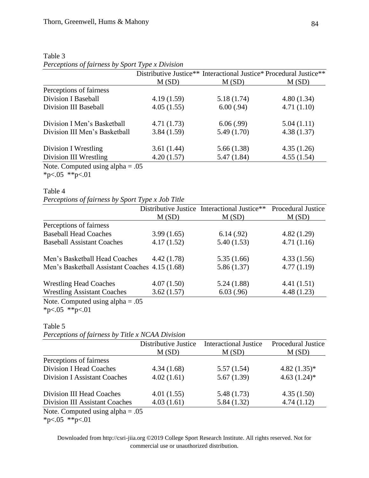|                                    |            | Distributive Justice** Interactional Justice* Procedural Justice** |            |
|------------------------------------|------------|--------------------------------------------------------------------|------------|
|                                    | M(SD)      | M(SD)                                                              | M(SD)      |
| Perceptions of fairness            |            |                                                                    |            |
| <b>Division I Baseball</b>         | 4.19(1.59) | 5.18(1.74)                                                         | 4.80(1.34) |
| Division III Baseball              | 4.05(1.55) | 6.00(.94)                                                          | 4.71(1.10) |
| Division I Men's Basketball        | 4.71(1.73) | 6.06(.99)                                                          | 5.04(1.11) |
| Division III Men's Basketball      | 3.84(1.59) | 5.49(1.70)                                                         | 4.38(1.37) |
| Division I Wrestling               | 3.61(1.44) | 5.66(1.38)                                                         | 4.35(1.26) |
| Division III Wrestling             | 4.20(1.57) | 5.47(1.84)                                                         | 4.55(1.54) |
| Note, Computed using alpha $= .05$ |            |                                                                    |            |

| Table 3                                          |  |
|--------------------------------------------------|--|
| Perceptions of fairness by Sport Type x Division |  |

Note. Computed using alpha = .05  $*p<.05$   $*p<.01$ 

#### Table 4

*Perceptions of fairness by Sport Type x Job Title*

|                                                                                                                                                                                                                                                                                                                                              |            | Distributive Justice Interactional Justice** | Procedural Justice |
|----------------------------------------------------------------------------------------------------------------------------------------------------------------------------------------------------------------------------------------------------------------------------------------------------------------------------------------------|------------|----------------------------------------------|--------------------|
|                                                                                                                                                                                                                                                                                                                                              | M(SD)      | M(SD)                                        | M(SD)              |
| Perceptions of fairness                                                                                                                                                                                                                                                                                                                      |            |                                              |                    |
| <b>Baseball Head Coaches</b>                                                                                                                                                                                                                                                                                                                 | 3.99(1.65) | 6.14(.92)                                    | 4.82(1.29)         |
| <b>Baseball Assistant Coaches</b>                                                                                                                                                                                                                                                                                                            | 4.17(1.52) | 5.40(1.53)                                   | 4.71(1.16)         |
| Men's Basketball Head Coaches                                                                                                                                                                                                                                                                                                                | 4.42(1.78) | 5.35(1.66)                                   | 4.33(1.56)         |
| Men's Basketball Assistant Coaches 4.15 (1.68)                                                                                                                                                                                                                                                                                               |            | 5.86(1.37)                                   | 4.77(1.19)         |
| <b>Wrestling Head Coaches</b>                                                                                                                                                                                                                                                                                                                | 4.07(1.50) | 5.24(1.88)                                   | 4.41(1.51)         |
| <b>Wrestling Assistant Coaches</b>                                                                                                                                                                                                                                                                                                           | 3.62(1.57) | 6.03(.96)                                    | 4.48(1.23)         |
| $\mathbf{M}$ $\alpha$ $\mathbf{M}$ $\mathbf{N}$ $\mathbf{N}$ $\mathbf{N}$ $\mathbf{N}$ $\mathbf{N}$ $\mathbf{N}$ $\mathbf{N}$ $\mathbf{N}$ $\mathbf{N}$ $\mathbf{N}$ $\mathbf{N}$ $\mathbf{N}$ $\mathbf{N}$ $\mathbf{N}$ $\mathbf{N}$ $\mathbf{N}$ $\mathbf{N}$ $\mathbf{N}$ $\mathbf{N}$ $\mathbf{N}$ $\mathbf{N}$ $\mathbf{N}$<br>$\Omega$ |            |                                              |                    |

Note. Computed using alpha = .05

\*p<.05 \*\*p<.01

## Table 5

*Perceptions of fairness by Title x NCAA Division*

| $\cdot$                             |                      |                              |                            |
|-------------------------------------|----------------------|------------------------------|----------------------------|
|                                     | Distributive Justice | <b>Interactional Justice</b> | <b>Procedural Justice</b>  |
|                                     | M(SD)                | M(SD)                        | M(SD)                      |
| Perceptions of fairness             |                      |                              |                            |
| <b>Division I Head Coaches</b>      | 4.34(1.68)           | 5.57(1.54)                   | $4.82(1.35)*$              |
| <b>Division I Assistant Coaches</b> | 4.02(1.61)           | 5.67(1.39)                   | 4.63 $(1.24)$ <sup>*</sup> |
| Division III Head Coaches           | 4.01(1.55)           | 5.48(1.73)                   | 4.35(1.50)                 |
| Division III Assistant Coaches      | 4.03(1.61)           | 5.84(1.32)                   | 4.74(1.12)                 |
| Note. Computed using $alpha = .05$  |                      |                              |                            |

\*p<.05 \*\*p<.01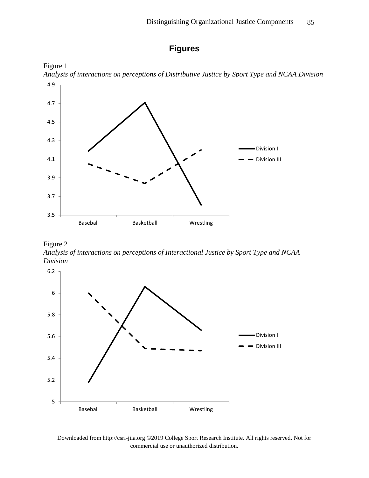# **Figures**